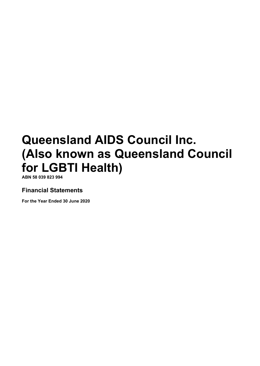**ABN 58 039 823 994**

# **Financial Statements**

**For the Year Ended 30 June 2020**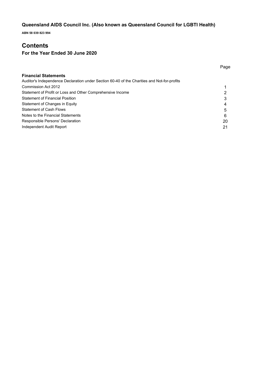**ABN 58 039 823 994**

# **Contents**

# **For the Year Ended 30 June 2020**

| <b>Financial Statements</b>                                                                 |    |
|---------------------------------------------------------------------------------------------|----|
| Auditor's Independence Declaration under Section 60-40 of the Charities and Not-for-profits |    |
| Commission Act 2012                                                                         |    |
| Statement of Profit or Loss and Other Comprehensive Income                                  |    |
| <b>Statement of Financial Position</b>                                                      |    |
| Statement of Changes in Equity                                                              | 4  |
| <b>Statement of Cash Flows</b>                                                              | 5  |
| Notes to the Financial Statements                                                           | 6  |
| Responsible Persons' Declaration                                                            | 20 |
| Independent Audit Report                                                                    | 21 |

Page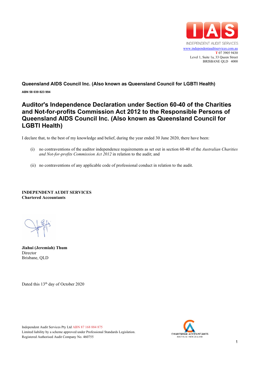

**ABN 58 039 823 994**

# **Auditor's Independence Declaration under Section 60-40 of the Charities and Not-for-profits Commission Act 2012 to the Responsible Persons of Queensland AIDS Council Inc. (Also known as Queensland Council for LGBTI Health)**

I declare that, to the best of my knowledge and belief, during the year ended 30 June 2020, there have been:

- (i) no contraventions of the auditor independence requirements as set out in section 60-40 of the *Australian Charities and Not-for-profits Commission Act 2012* in relation to the audit; and
- (ii) no contraventions of any applicable code of professional conduct in relation to the audit.

**INDEPENDENT AUDIT SERVICES Chartered Accountants**

**Jiahui (Jeremiah) Thum** Director Brisbane, QLD

Dated this 13<sup>th</sup> day of October 2020



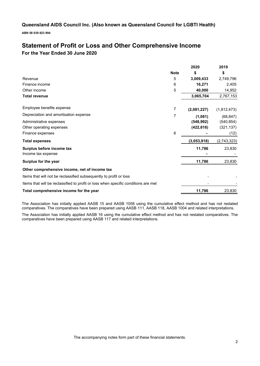**ABN 58 039 823 994**

# **Statement of Profit or Loss and Other Comprehensive Income For the Year Ended 30 June 2020**

|                                                                                    |             | 2020        | 2019        |
|------------------------------------------------------------------------------------|-------------|-------------|-------------|
|                                                                                    | <b>Note</b> | \$          | \$          |
| Revenue                                                                            | 5           | 3,009,433   | 2,749,796   |
| Finance income                                                                     | 6           | 16,271      | 2,405       |
| Other income                                                                       | 5           | 40,000      | 14,952      |
| <b>Total revenue</b>                                                               |             | 3,065,704   | 2,767,153   |
| Employee benefits expense                                                          | 7           | (2,081,227) | (1,812,473) |
| Depreciation and amortisation expense                                              | 7           | (1,081)     | (68, 847)   |
| Administrative expenses                                                            |             | (548, 992)  | (540, 854)  |
| Other operating expenses                                                           |             | (422, 618)  | (321, 137)  |
| Finance expenses                                                                   | 6           |             | (12)        |
| <b>Total expenses</b>                                                              |             | (3,053,918) | (2,743,323) |
| Surplus before income tax<br>Income tax expense                                    |             | 11,786      | 23,830      |
| Surplus for the year                                                               |             | 11,786      | 23,830      |
| Other comprehensive income, net of income tax                                      |             |             |             |
| Items that will not be reclassified subsequently to profit or loss                 |             |             |             |
| Items that will be reclassified to profit or loss when specific conditions are met |             |             |             |
| Total comprehensive income for the year                                            |             | 11,786      | 23,830      |

The Association has initially applied AASB 15 and AASB 1058 using the cumulative effect method and has not restated comparatives. The comparatives have been prepared using AASB 111, AASB 118, AASB 1004 and related interpretations.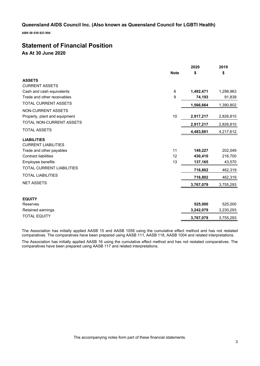**ABN 58 039 823 994**

# **Statement of Financial Position As At 30 June 2020**

| <b>Note</b><br>\$<br>\$<br><b>ASSETS</b><br><b>CURRENT ASSETS</b><br>8<br>Cash and cash equivalents<br>1,492,471<br>1,298,963<br>Trade and other receivables<br>9<br>74,193<br>TOTAL CURRENT ASSETS<br>1,390,802<br>1,566,664<br>NON-CURRENT ASSETS<br>10<br>2,826,810<br>Property, plant and equipment<br>2,917,217<br>TOTAL NON-CURRENT ASSETS<br>2,826,810<br>2,917,217<br><b>TOTAL ASSETS</b><br>4,483,881<br>4,217,612<br><b>LIABILITIES</b><br><b>CURRENT LIABILITIES</b><br>Trade and other payables<br>11<br>149,227 |         |
|------------------------------------------------------------------------------------------------------------------------------------------------------------------------------------------------------------------------------------------------------------------------------------------------------------------------------------------------------------------------------------------------------------------------------------------------------------------------------------------------------------------------------|---------|
|                                                                                                                                                                                                                                                                                                                                                                                                                                                                                                                              |         |
|                                                                                                                                                                                                                                                                                                                                                                                                                                                                                                                              |         |
|                                                                                                                                                                                                                                                                                                                                                                                                                                                                                                                              |         |
|                                                                                                                                                                                                                                                                                                                                                                                                                                                                                                                              |         |
|                                                                                                                                                                                                                                                                                                                                                                                                                                                                                                                              | 91,839  |
|                                                                                                                                                                                                                                                                                                                                                                                                                                                                                                                              |         |
|                                                                                                                                                                                                                                                                                                                                                                                                                                                                                                                              |         |
|                                                                                                                                                                                                                                                                                                                                                                                                                                                                                                                              |         |
|                                                                                                                                                                                                                                                                                                                                                                                                                                                                                                                              |         |
|                                                                                                                                                                                                                                                                                                                                                                                                                                                                                                                              |         |
|                                                                                                                                                                                                                                                                                                                                                                                                                                                                                                                              |         |
|                                                                                                                                                                                                                                                                                                                                                                                                                                                                                                                              |         |
|                                                                                                                                                                                                                                                                                                                                                                                                                                                                                                                              | 202,049 |
| <b>Contract liabilities</b><br>12<br>430,410<br>216,700                                                                                                                                                                                                                                                                                                                                                                                                                                                                      |         |
| 13<br>137,165<br>Employee benefits                                                                                                                                                                                                                                                                                                                                                                                                                                                                                           | 43,570  |
| <b>TOTAL CURRENT LIABILITIES</b><br>716,802<br>462,319                                                                                                                                                                                                                                                                                                                                                                                                                                                                       |         |
| <b>TOTAL LIABILITIES</b><br>462,319<br>716,802                                                                                                                                                                                                                                                                                                                                                                                                                                                                               |         |
| <b>NET ASSETS</b><br>3,767,079<br>3,755,293                                                                                                                                                                                                                                                                                                                                                                                                                                                                                  |         |
|                                                                                                                                                                                                                                                                                                                                                                                                                                                                                                                              |         |
| <b>EQUITY</b>                                                                                                                                                                                                                                                                                                                                                                                                                                                                                                                |         |
| 525,000<br>525,000<br>Reserves                                                                                                                                                                                                                                                                                                                                                                                                                                                                                               |         |
| 3,242,079<br>3,230,293<br>Retained earnings                                                                                                                                                                                                                                                                                                                                                                                                                                                                                  |         |
| <b>TOTAL EQUITY</b><br>3,767,079<br>3,755,293                                                                                                                                                                                                                                                                                                                                                                                                                                                                                |         |

The Association has initially applied AASB 15 and AASB 1058 using the cumulative effect method and has not restated comparatives. The comparatives have been prepared using AASB 111, AASB 118, AASB 1004 and related interpretations.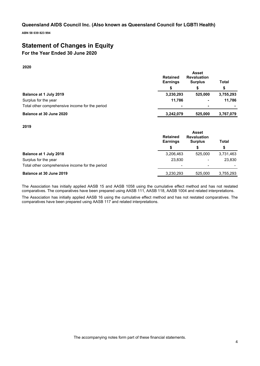**ABN 58 039 823 994**

# **Statement of Changes in Equity**

# **For the Year Ended 30 June 2020**

**2020**

|                                                 | <b>Retained</b><br><b>Earnings</b> | <b>Asset</b><br><b>Revaluation</b><br><b>Surplus</b> | Total     |
|-------------------------------------------------|------------------------------------|------------------------------------------------------|-----------|
|                                                 |                                    |                                                      | \$        |
| Balance at 1 July 2019                          | 3,230,293                          | 525.000                                              | 3,755,293 |
| Surplus for the year                            | 11.786                             | $\blacksquare$                                       | 11.786    |
| Total other comprehensive income for the period |                                    | $\blacksquare$                                       |           |
| Balance at 30 June 2020                         | 3,242,079                          | 525,000                                              | 3,767,079 |

## **2019**

|                                                 | <b>Asset</b><br><b>Retained</b><br><b>Revaluation</b><br><b>Earnings</b><br><b>Surplus</b> |                          | Total     |
|-------------------------------------------------|--------------------------------------------------------------------------------------------|--------------------------|-----------|
|                                                 | S                                                                                          | S                        | \$        |
| <b>Balance at 1 July 2018</b>                   | 3,206,463                                                                                  | 525.000                  | 3,731,463 |
| Surplus for the year                            | 23,830                                                                                     | $\overline{\phantom{a}}$ | 23,830    |
| Total other comprehensive income for the period | -                                                                                          | $\overline{\phantom{a}}$ |           |
| Balance at 30 June 2019                         | 3,230,293                                                                                  | 525.000                  | 3,755,293 |

The Association has initially applied AASB 15 and AASB 1058 using the cumulative effect method and has not restated comparatives. The comparatives have been prepared using AASB 111, AASB 118, AASB 1004 and related interpretations.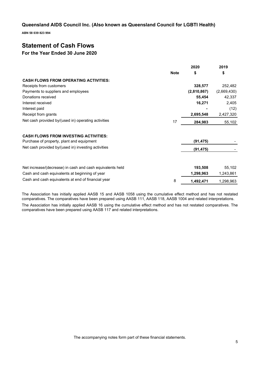**ABN 58 039 823 994**

# **Statement of Cash Flows**

## **For the Year Ended 30 June 2020**

|                                                           |             | 2020        | 2019        |
|-----------------------------------------------------------|-------------|-------------|-------------|
|                                                           | <b>Note</b> | \$          | \$          |
| <b>CASH FLOWS FROM OPERATING ACTIVITIES:</b>              |             |             |             |
| Receipts from customers                                   |             | 328,577     | 252,482     |
| Payments to suppliers and employees                       |             | (2,810,867) | (2,669,430) |
| Donations received                                        |             | 55,454      | 42,337      |
| Interest received                                         |             | 16,271      | 2,405       |
| Interest paid                                             |             |             | (12)        |
| Receipt from grants                                       |             | 2,695,548   | 2,427,320   |
| Net cash provided by/(used in) operating activities       | 17          | 284,983     | 55,102      |
| <b>CASH FLOWS FROM INVESTING ACTIVITIES:</b>              |             |             |             |
| Purchase of property, plant and equipment                 |             | (91, 475)   |             |
| Net cash provided by/(used in) investing activities       |             | (91, 475)   |             |
|                                                           |             |             |             |
| Net increase/(decrease) in cash and cash equivalents held |             | 193,508     | 55,102      |
| Cash and cash equivalents at beginning of year            |             | 1,298,963   | 1,243,861   |
| Cash and cash equivalents at end of financial year        | 8           | 1,492,471   | 1,298,963   |

The Association has initially applied AASB 15 and AASB 1058 using the cumulative effect method and has not restated comparatives. The comparatives have been prepared using AASB 111, AASB 118, AASB 1004 and related interpretations.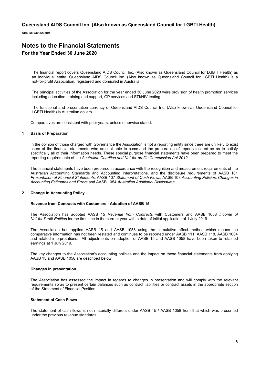**ABN 58 039 823 994**

# **Notes to the Financial Statements For the Year Ended 30 June 2020**

The financial report covers Queensland AIDS Council Inc. (Also known as Queensland Council for LGBTI Health) as an individual entity. Queensland AIDS Council Inc. (Also known as Queensland Council for LGBTI Health) is a not-for-profit Association, registered and domiciled in Australia.

The principal activities of the Association for the year ended 30 June 2020 were provision of health promotion services including education, training and support, GP services and STI/HIV testing.

The functional and presentation currency of Queensland AIDS Council Inc. (Also known as Queensland Council for LGBTI Health) is Australian dollars.

Comparatives are consistent with prior years, unless otherwise stated.

## **1 Basis of Preparation**

In the opinion of those charged with Governance the Association is not a reporting entity since there are unlikely to exist users of the financial statements who are not able to command the preparation of reports tailored so as to satisfy specifically all of their information needs. These special purpose financial statements have been prepared to meet the reporting requirements of the *Australian Charities and Not-for-profits Commission Act 2012.*

The financial statements have been prepared in accordance with the recognition and measurement requirements of the Australian Accounting Standards and Accounting Interpretations, and the disclosure requirements of AASB 101 *Presentation of Financial Statements*, AASB 107 *Statement of Cash Flows*, AASB 108 *Accounting Policies*, *Changes in Accounting Estimates and Errors* and AASB 1054 *Australian Additional Disclosures*.

## **2 Change in Accounting Policy**

#### **Revenue from Contracts with Customers - Adoption of AASB 15**

The Association has adopted AASB 15 *Revenue from Contracts* with Customers and AASB 1058 *Income of Not-for-Profit Entities* for the first time in the current year with a date of initial application of 1 July 2019.

The Association has applied AASB 15 and AASB 1058 using the cumulative effect method which means the comparative information has not been restated and continues to be reported under AASB 111, AASB 118, AASB 1004 and related interpretations. All adjustments on adoption of AASB 15 and AASB 1058 have been taken to retained earnings at 1 July 2019.

The key changes to the Association's accounting policies and the impact on these financial statements from applying AASB 15 and AASB 1058 are described below.

#### **Changes in presentation**

The Association has assessed the impact in regards to changes in presentation and will comply with the relevant requirements so as to present certain balances such as contract liabilities or contract assets in the appropriate section of the Statement of Financial Position.

#### **Statement of Cash Flows**

The statement of cash flows is not materially different under AASB 15 / AASB 1058 from that which was presented under the previous revenue standards.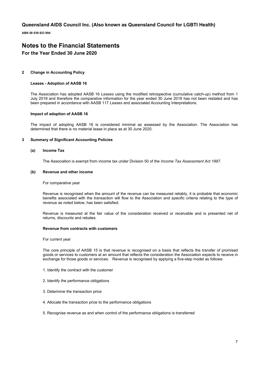**ABN 58 039 823 994**

# **Notes to the Financial Statements For the Year Ended 30 June 2020**

## **2 Change in Accounting Policy**

### **Leases - Adoption of AASB 16**

The Association has adopted AASB 16 *Leases* using the modified retrospective (cumulative catch-up) method from 1 July 2019 and therefore the comparative information for the year ended 30 June 2019 has not been restated and has been prepared in accordance with AASB 117 *Leases* and associated Accounting Interpretations.

## **Impact of adoption of AASB 16**

The impact of adopting AASB 16 is considered minimal as assessed by the Association. The Association has determined that there is no material lease in place as at 30 June 2020.

### **3 Summary of Significant Accounting Policies**

#### **(a) Income Tax**

The Association is exempt from income tax under Division 50 of the *Income Tax Assessment Act 1997*.

### **(b) Revenue and other income**

For comparative year

Revenue is recognised when the amount of the revenue can be measured reliably, it is probable that economic benefits associated with the transaction will flow to the Association and specific criteria relating to the type of revenue as noted below, has been satisfied.

Revenue is measured at the fair value of the consideration received or receivable and is presented net of returns, discounts and rebates.

## **Revenue from contracts with customers**

For current year

The core principle of AASB 15 is that revenue is recognised on a basis that reflects the transfer of promised goods or services to customers at an amount that reflects the consideration the Association expects to receive in exchange for those goods or services. Revenue is recognised by applying a five-step model as follows:

- 1. Identify the contract with the customer
- 2. Identify the performance obligations
- 3. Determine the transaction price
- 4. Allocate the transaction price to the performance obligations
- 5. Recognise revenue as and when control of the performance obligations is transferred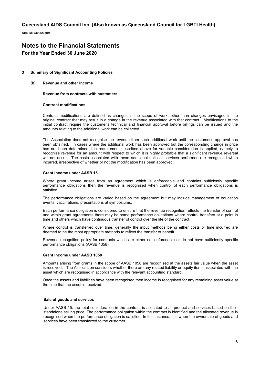**ABN 58 039 823 994**

# **Notes to the Financial Statements For the Year Ended 30 June 2020**

## **3 Summary of Significant Accounting Policies**

**(b) Revenue and other income** 

## **Revenue from contracts with customers**

#### **Contract modifications**

Contract modifications are defined as changes in the scope of work, other than changes envisaged in the original contract that may result in a change in the revenue associated with that contract. Modifications to the initial contract require the customer's technical and financial approval before billings can be issued and the amounts relating to the additional work can be collected.

The Association does not recognise the revenue from such additional work until the customer's approval has been obtained. In cases where the additional work has been approved but the corresponding change in price has not been determined, the requirement described above for variable consideration is applied, namely to recognise revenue for an amount with respect to which it is highly probable that a significant revenue reversal will not occur. The costs associated with these additional units or services performed are recognised when incurred, irrespective of whether or not the modification has been approved.

#### **Grant income under AASB 15**

Where grant income arises from an agreement which is enforceable and contains sufficiently specific performance obligations then the revenue is recognised when control of each performance obligations is satisfied.

The performance obligations are varied based on the agreement but may include management of education events, vaccinations, presentations at symposiums.

Each performance obligation is considered to ensure that the revenue recognition reflects the transfer of control and within grant agreements there may be some performance obligations where control transfers at a point in time and others which have continuous transfer of control over the life of the contract.

Where control is transferred over time, generally the input methods being either costs or time incurred are deemed to be the most appropriate methods to reflect the transfer of benefit.

Revenue recognition policy for contracts which are either not enforceable or do not have sufficiently specific performance obligations (AASB 1058)

#### **Grant income under AASB 1058**

Amounts arising from grants in the scope of AASB 1058 are recognised at the assets fair value when the asset is received. The Association considers whether there are any related liability or equity items associated with the asset which are recognised in accordance with the relevant accounting standard.

Once the assets and liabilities have been recognised then income is recognised for any remaining asset value at the time that the asset is received.

#### **Sale of goods and services**

Under AASB 15, the total consideration in the contract is allocated to all product and services based on their standalone selling price. The performance obligation within the contract is identified and the allocated revenue is recognised when the performance obligation is satisfied. In this instance, it is when the ownership of goods and services have been transferred to the customer.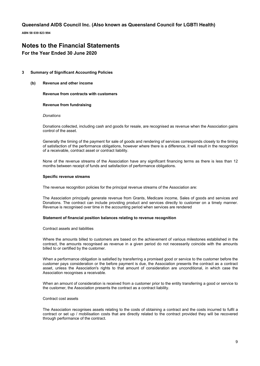**ABN 58 039 823 994**

# **Notes to the Financial Statements**

# **For the Year Ended 30 June 2020**

## **3 Summary of Significant Accounting Policies**

**(b) Revenue and other income** 

**Revenue from contracts with customers** 

## **Revenue from fundraising**

### *Donations*

Donations collected, including cash and goods for resale, are recognised as revenue when the Association gains control of the asset.

Generally the timing of the payment for sale of goods and rendering of services corresponds closely to the timing of satisfaction of the performance obligations, however where there is a difference, it will result in the recognition of a receivable, contract asset or contract liability.

None of the revenue streams of the Association have any significant financing terms as there is less than 12 months between receipt of funds and satisfaction of performance obligations.

### **Specific revenue streams**

The revenue recognition policies for the principal revenue streams of the Association are:

The Association principally generate revenue from Grants, Medicare income, Sales of goods and services and Donations. The contract can include providing product and services directly to customer on a timely manner. Revenue is recognised over time in the accounting period when services are rendered

## **Statement of financial position balances relating to revenue recognition**

## Contract assets and liabilities

Where the amounts billed to customers are based on the achievement of various milestones established in the contract, the amounts recognised as revenue in a given period do not necessarily coincide with the amounts billed to or certified by the customer.

When a performance obligation is satisfied by transferring a promised good or service to the customer before the customer pays consideration or the before payment is due, the Association presents the contract as a contract asset, unless the Association's rights to that amount of consideration are unconditional, in which case the Association recognises a receivable.

When an amount of consideration is received from a customer prior to the entity transferring a good or service to the customer, the Association presents the contract as a contract liability.

### Contract cost assets

The Association recognises assets relating to the costs of obtaining a contract and the costs incurred to fulfil a contract or set up / mobilisation costs that are directly related to the contract provided they will be recovered through performance of the contract.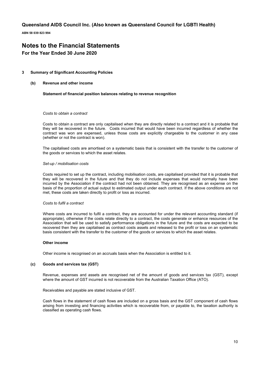**ABN 58 039 823 994**

# **Notes to the Financial Statements For the Year Ended 30 June 2020**

## **3 Summary of Significant Accounting Policies**

**(b) Revenue and other income** 

### **Statement of financial position balances relating to revenue recognition**

## *Costs to obtain a contract*

Costs to obtain a contract are only capitalised when they are directly related to a contract and it is probable that they will be recovered in the future. Costs incurred that would have been incurred regardless of whether the contract was won are expensed, unless those costs are explicitly chargeable to the customer in any case (whether or not the contract is won).

The capitalised costs are amortised on a systematic basis that is consistent with the transfer to the customer of the goods or services to which the asset relates.

#### *Set-up / mobilisation costs*

Costs required to set up the contract, including mobilisation costs, are capitalised provided that it is probable that they will be recovered in the future and that they do not include expenses that would normally have been incurred by the Association if the contract had not been obtained. They are recognised as an expense on the basis of the proportion of actual output to estimated output under each contract. If the above conditions are not met, these costs are taken directly to profit or loss as incurred.

#### *Costs to fulfil a contract*

Where costs are incurred to fulfil a contract, they are accounted for under the relevant accounting standard (if appropriate), otherwise if the costs relate directly to a contract, the costs generate or enhance resources of the Association that will be used to satisfy performance obligations in the future and the costs are expected to be recovered then they are capitalised as contract costs assets and released to the profit or loss on an systematic basis consistent with the transfer to the customer of the goods or services to which the asset relates.

## **Other income**

Other income is recognised on an accruals basis when the Association is entitled to it.

## **(c) Goods and services tax (GST)**

Revenue, expenses and assets are recognised net of the amount of goods and services tax (GST), except where the amount of GST incurred is not recoverable from the Australian Taxation Office (ATO).

Receivables and payable are stated inclusive of GST.

Cash flows in the statement of cash flows are included on a gross basis and the GST component of cash flows arising from investing and financing activities which is recoverable from, or payable to, the taxation authority is classified as operating cash flows.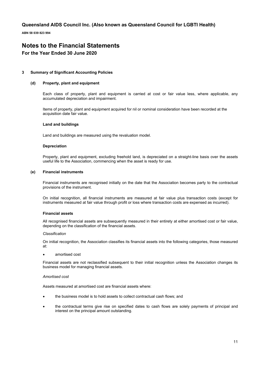**ABN 58 039 823 994**

# **Notes to the Financial Statements For the Year Ended 30 June 2020**

## **3 Summary of Significant Accounting Policies**

## **(d) Property, plant and equipment**

Each class of property, plant and equipment is carried at cost or fair value less, where applicable, any accumulated depreciation and impairment.

Items of property, plant and equipment acquired for nil or nominal consideration have been recorded at the acquisition date fair value.

### **Land and buildings**

Land and buildings are measured using the revaluation model.

#### **Depreciation**

Property, plant and equipment, excluding freehold land, is depreciated on a straight-line basis over the assets useful life to the Association, commencing when the asset is ready for use.

## **(e) Financial instruments**

Financial instruments are recognised initially on the date that the Association becomes party to the contractual provisions of the instrument.

On initial recognition, all financial instruments are measured at fair value plus transaction costs (except for instruments measured at fair value through profit or loss where transaction costs are expensed as incurred).

#### **Financial assets**

All recognised financial assets are subsequently measured in their entirety at either amortised cost or fair value, depending on the classification of the financial assets.

#### *Classification*

On initial recognition, the Association classifies its financial assets into the following categories, those measured at:

#### • amortised cost

Financial assets are not reclassified subsequent to their initial recognition unless the Association changes its business model for managing financial assets.

#### *Amortised cost*

Assets measured at amortised cost are financial assets where:

- the business model is to hold assets to collect contractual cash flows; and
- the contractual terms give rise on specified dates to cash flows are solely payments of principal and interest on the principal amount outstanding.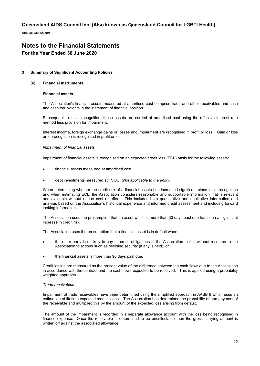**ABN 58 039 823 994**

# **Notes to the Financial Statements For the Year Ended 30 June 2020**

## **3 Summary of Significant Accounting Policies**

## **(e) Financial instruments**

## **Financial assets**

The Association's financial assets measured at amortised cost comprise trade and other receivables and cash and cash equivalents in the statement of financial position.

Subsequent to initial recognition, these assets are carried at amortised cost using the effective interest rate method less provision for impairment.

Interest income, foreign exchange gains or losses and impairment are recognised in profit or loss. Gain or loss on derecognition is recognised in profit or loss.

### *Impairment of financial assets*

Impairment of financial assets is recognised on an expected credit loss (ECL) basis for the following assets:

- financial assets measured at amortised cost
- debt investments measured at FVOCI (*Not applicable to the entity)*

When determining whether the credit risk of a financial assets has increased significant since initial recognition and when estimating ECL, the Association considers reasonable and supportable information that is relevant and available without undue cost or effort. This includes both quantitative and qualitative information and analysis based on the Association's historical experience and informed credit assessment and including forward looking information.

The Association uses the presumption that an asset which is more than 30 days past due has seen a significant increase in credit risk.

The Association uses the presumption that a financial asset is in default when:

- the other party is unlikely to pay its credit obligations to the Association in full, without recourse to the Association to actions such as realising security (if any is held); or
- the financial assets is more than 90 days past due.

Credit losses are measured as the present value of the difference between the cash flows due to the Association in accordance with the contract and the cash flows expected to be received. This is applied using a probability weighted approach.

## *Trade receivables*

Impairment of trade receivables have been determined using the simplified approach in AASB 9 which uses an estimation of lifetime expected credit losses. The Association has determined the probability of non-payment of the receivable and multiplied this by the amount of the expected loss arising from default.

The amount of the impairment is recorded in a separate allowance account with the loss being recognised in finance expense. Once the receivable is determined to be uncollectable then the gross carrying amount is written off against the associated allowance.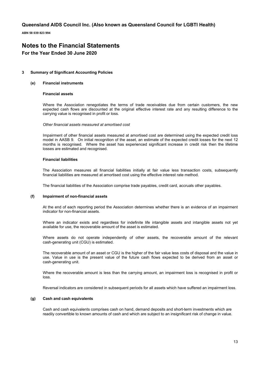**ABN 58 039 823 994**

# **Notes to the Financial Statements For the Year Ended 30 June 2020**

## **3 Summary of Significant Accounting Policies**

### **(e) Financial instruments**

## **Financial assets**

Where the Association renegotiates the terms of trade receivables due from certain customers, the new expected cash flows are discounted at the original effective interest rate and any resulting difference to the carrying value is recognised in profit or loss.

### *Other financial assets measured at amortised cost*

Impairment of other financial assets measured at amortised cost are determined using the expected credit loss model in AASB 9. On initial recognition of the asset, an estimate of the expected credit losses for the next 12 months is recognised. Where the asset has experienced significant increase in credit risk then the lifetime losses are estimated and recognised.

### **Financial liabilities**

The Association measures all financial liabilities initially at fair value less transaction costs, subsequently financial liabilities are measured at amortised cost using the effective interest rate method.

The financial liabilities of the Association comprise trade payables, credit card, accruals other payables.

## **(f) Impairment of non-financial assets**

At the end of each reporting period the Association determines whether there is an evidence of an impairment indicator for non-financial assets.

Where an indicator exists and regardless for indefinite life intangible assets and intangible assets not yet available for use, the recoverable amount of the asset is estimated.

Where assets do not operate independently of other assets, the recoverable amount of the relevant cash-generating unit (CGU) is estimated.

The recoverable amount of an asset or CGU is the higher of the fair value less costs of disposal and the value in use. Value in use is the present value of the future cash flows expected to be derived from an asset or cash-generating unit.

Where the recoverable amount is less than the carrying amount, an impairment loss is recognised in profit or loss.

Reversal indicators are considered in subsequent periods for all assets which have suffered an impairment loss.

### **(g) Cash and cash equivalents**

Cash and cash equivalents comprises cash on hand, demand deposits and short-term investments which are readily convertible to known amounts of cash and which are subject to an insignificant risk of change in value.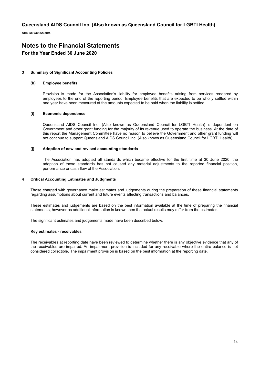**ABN 58 039 823 994**

# **Notes to the Financial Statements For the Year Ended 30 June 2020**

## **3 Summary of Significant Accounting Policies**

### **(h) Employee benefits**

Provision is made for the Association's liability for employee benefits arising from services rendered by employees to the end of the reporting period. Employee benefits that are expected to be wholly settled within one year have been measured at the amounts expected to be paid when the liability is settled.

## **(i) Economic dependence**

Queensland AIDS Council Inc. (Also known as Queensland Council for LGBTI Health) is dependent on Government and other grant funding for the majority of its revenue used to operate the business. At the date of this report the Management Committee have no reason to believe the Government and other grant funding will not continue to support Queensland AIDS Council Inc. (Also known as Queensland Council for LGBTI Health).

### **(j) Adoption of new and revised accounting standards**

The Association has adopted all standards which became effective for the first time at 30 June 2020, the adoption of these standards has not caused any material adjustments to the reported financial position, performance or cash flow of the Association.

### **4 Critical Accounting Estimates and Judgments**

Those charged with governance make estimates and judgements during the preparation of these financial statements regarding assumptions about current and future events affecting transactions and balances.

These estimates and judgements are based on the best information available at the time of preparing the financial statements, however as additional information is known then the actual results may differ from the estimates.

The significant estimates and judgements made have been described below.

#### **Key estimates - receivables**

The receivables at reporting date have been reviewed to determine whether there is any objective evidence that any of the receivables are impaired. An impairment provision is included for any receivable where the entire balance is not considered collectible. The impairment provision is based on the best information at the reporting date.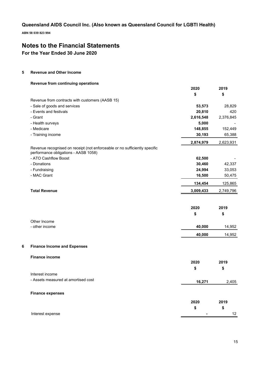**ABN 58 039 823 994**

# **Notes to the Financial Statements**

**For the Year Ended 30 June 2020**

## **5 Revenue and Other Income**

## **Revenue from continuing operations**

|   |                                                                                                                    | 2020          | 2019      |
|---|--------------------------------------------------------------------------------------------------------------------|---------------|-----------|
|   |                                                                                                                    | \$            | \$        |
|   | Revenue from contracts with customers (AASB 15)                                                                    |               |           |
|   | - Sale of goods and services                                                                                       | 53,573        | 28,829    |
|   | - Events and festivals                                                                                             | 20,810        | 420       |
|   | - Grant                                                                                                            | 2,616,548     | 2,376,845 |
|   | - Health surveys                                                                                                   | 5,000         |           |
|   | - Medicare                                                                                                         | 148,855       | 152,449   |
|   | - Training income                                                                                                  | 30,193        | 65,388    |
|   |                                                                                                                    | 2,874,979     | 2,623,931 |
|   | Revenue recognised on receipt (not enforceable or no sufficiently specific<br>performance obligations - AASB 1058) |               |           |
|   | - ATO Cashflow Boost                                                                                               | 62,500        |           |
|   | - Donations                                                                                                        | 30,460        | 42,337    |
|   | - Fundraising                                                                                                      | 24,994        | 33,053    |
|   | - MAC Grant                                                                                                        | 16,500        | 50,475    |
|   |                                                                                                                    | 134,454       | 125,865   |
|   | <b>Total Revenue</b>                                                                                               | 3,009,433     | 2,749,796 |
|   |                                                                                                                    |               |           |
|   |                                                                                                                    | 2020          | 2019      |
|   |                                                                                                                    | \$            | \$        |
|   | Other Income                                                                                                       |               |           |
|   | - other income                                                                                                     | 40,000        | 14,952    |
|   |                                                                                                                    | 40,000        | 14,952    |
|   |                                                                                                                    |               |           |
| 6 | <b>Finance Income and Expenses</b>                                                                                 |               |           |
|   | <b>Finance income</b>                                                                                              |               |           |
|   |                                                                                                                    | 2020          | 2019      |
|   |                                                                                                                    | \$            | \$        |
|   | Interest income                                                                                                    |               |           |
|   | - Assets measured at amortised cost                                                                                | <u>16,271</u> | 2,405     |
|   |                                                                                                                    |               |           |
|   | <b>Finance expenses</b>                                                                                            |               |           |
|   |                                                                                                                    | 2020          | 2019      |
|   |                                                                                                                    | \$            | \$        |
|   | Interest expense                                                                                                   |               | 12        |
|   |                                                                                                                    |               |           |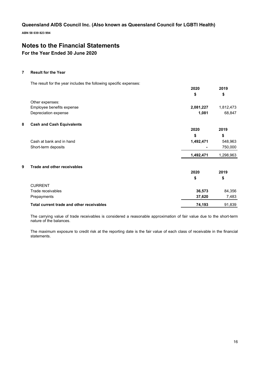**ABN 58 039 823 994**

# **Notes to the Financial Statements For the Year Ended 30 June 2020**

## **7 Result for the Year**

The result for the year includes the following specific expenses:

|                                           | 2020      | 2019      |
|-------------------------------------------|-----------|-----------|
|                                           | \$        | \$        |
| Other expenses:                           |           |           |
| Employee benefits expense                 | 2,081,227 | 1,812,473 |
| Depreciation expense                      | 1,081     | 68,847    |
| 8<br><b>Cash and Cash Equivalents</b>     |           |           |
|                                           | 2020      | 2019      |
|                                           | \$        | \$        |
| Cash at bank and in hand                  | 1,492,471 | 548,963   |
| Short-term deposits                       |           | 750,000   |
|                                           | 1,492,471 | 1,298,963 |
| 9<br><b>Trade and other receivables</b>   |           |           |
|                                           | 2020      | 2019      |
|                                           | \$        | \$        |
| <b>CURRENT</b>                            |           |           |
| Trade receivables                         | 36,573    | 84,356    |
| Prepayments                               | 37,620    | 7,483     |
| Total current trade and other receivables | 74,193    | 91,839    |

The carrying value of trade receivables is considered a reasonable approximation of fair value due to the short-term nature of the balances.

The maximum exposure to credit risk at the reporting date is the fair value of each class of receivable in the financial statements.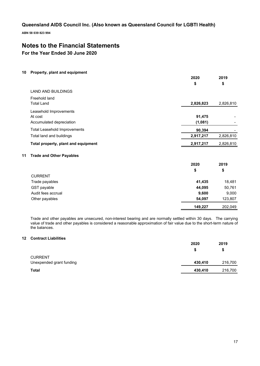**ABN 58 039 823 994**

# **Notes to the Financial Statements**

**For the Year Ended 30 June 2020**

## **10 Property, plant and equipment**

|    |                                     | 2020      | 2019      |
|----|-------------------------------------|-----------|-----------|
|    |                                     | \$        | \$        |
|    | <b>LAND AND BUILDINGS</b>           |           |           |
|    | Freehold land<br><b>Total Land</b>  | 2,826,823 | 2,826,810 |
|    | Leasehold Improvements<br>At cost   | 91,475    |           |
|    | Accumulated depreciation            | (1,081)   |           |
|    | <b>Total Leasehold Improvements</b> | 90,394    |           |
|    | Total land and buildings            | 2,917,217 | 2,826,810 |
|    | Total property, plant and equipment | 2,917,217 | 2,826,810 |
| 11 | <b>Trade and Other Payables</b>     |           |           |
|    |                                     | 2020      | 2019      |
|    |                                     | \$        | \$        |
|    | <b>CURRENT</b>                      |           |           |
|    | Trado pavablos                      | 44.425    | 19 19 1   |

| Trade payables     | 41,435  | 18.481  |
|--------------------|---------|---------|
| GST payable        | 44.095  | 50,761  |
| Audit fees accrual | 9.600   | 9.000   |
| Other payables     | 54.097  | 123,807 |
|                    | 149,227 | 202,049 |

Trade and other payables are unsecured, non-interest bearing and are normally settled within 30 days. The carrying value of trade and other payables is considered a reasonable approximation of fair value due to the short-term nature of the balances.

## **12 Contract Liabilities**

|                          | 2020    | 2019    |
|--------------------------|---------|---------|
|                          | S       | \$      |
| Unexpended grant funding | 430,410 | 216,700 |
|                          | 430,410 | 216,700 |
|                          |         |         |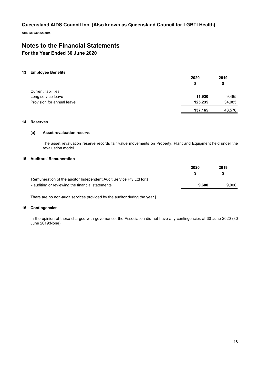**ABN 58 039 823 994**

# **Notes to the Financial Statements**

# **For the Year Ended 30 June 2020**

## **13 Employee Benefits**

|                            | 2020    | 2019   |
|----------------------------|---------|--------|
|                            | S       | \$     |
| <b>Current liabilities</b> |         |        |
| Long service leave         | 11,930  | 9,485  |
| Provision for annual leave | 125,235 | 34,085 |
|                            | 137,165 | 43,570 |

## **14 Reserves**

## **(a) Asset revaluation reserve**

The asset revaluation reserve records fair value movements on Property, Plant and Equipment held under the revaluation model.

## **15 Auditors' Remuneration**

|                                                                     | 2020  | 2019  |
|---------------------------------------------------------------------|-------|-------|
|                                                                     |       | S.    |
| Remuneration of the auditor Independent Audit Service Pty Ltd for:) |       |       |
| - auditing or reviewing the financial statements                    | 9.600 | 9.000 |

There are no non-audit services provided by the auditor during the year.]

## **16 Contingencies**

In the opinion of those charged with governance, the Association did not have any contingencies at 30 June 2020 (30 June 2019:None).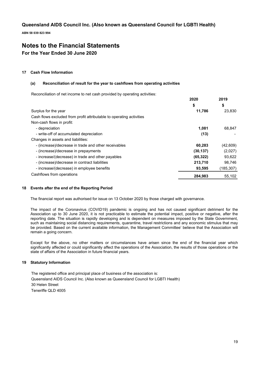**ABN 58 039 823 994**

# **Notes to the Financial Statements For the Year Ended 30 June 2020**

## **17 Cash Flow Information**

## **(a) Reconciliation of result for the year to cashflows from operating activities**

Reconciliation of net income to net cash provided by operating activities:

|                                                                      | 2020      | 2019       |
|----------------------------------------------------------------------|-----------|------------|
|                                                                      | \$        | \$         |
| Surplus for the year                                                 | 11,786    | 23,830     |
| Cash flows excluded from profit attributable to operating activities |           |            |
| Non-cash flows in profit:                                            |           |            |
| - depreciation                                                       | 1.081     | 68.847     |
| - write-off of accumulated depreciation                              | (13)      |            |
| Changes in assets and liabilities:                                   |           |            |
| - (increase)/decrease in trade and other receivables                 | 60,283    | (42, 609)  |
| - (increase)/decrease in prepayments                                 | (30, 137) | (2,027)    |
| - increase/(decrease) in trade and other payables                    | (65, 322) | 93,622     |
| - (increase)/decrease in contract liabilities                        | 213,710   | 98,746     |
| - increase/(decrease) in employee benefits                           | 93,595    | (185, 307) |
| Cashflows from operations                                            | 284,983   | 55,102     |

## **18 Events after the end of the Reporting Period**

The financial report was authorised for issue on 13 October 2020 by those charged with governance.

The impact of the Coronavirus (COVID19) pandemic is ongoing and has not caused significant detriment for the Association up to 30 June 2020, it is not practicable to estimate the potential impact, positive or negative, after the reporting date. The situation is rapidly developing and is dependent on measures imposed by the State Government, such as maintaining social distancing requirements, quarantine, travel restrictions and any economic stimulus that may be provided. Based on the current available information, the Management Committee' believe that the Association will remain a going concern.

Except for the above, no other matters or circumstances have arisen since the end of the financial year which significantly affected or could significantly affect the operations of the Association, the results of those operations or the state of affairs of the Association in future financial years.

## **19 Statutory Information**

The registered office and principal place of business of the association is: Queensland AIDS Council Inc. (Also known as Queensland Council for LGBTI Health) 30 Helen Street Teneriffe QLD 4005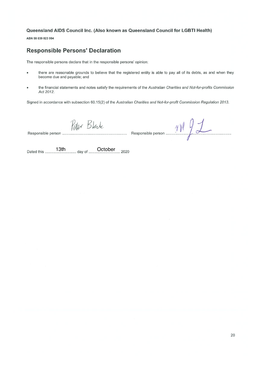ABN 58 039 823 994

# **Responsible Persons' Declaration**

The responsible persons declare that in the responsible persons' opinion:

- there are reasonable grounds to believe that the registered entity is able to pay all of its debts, as and when they  $\bullet$ become due and payable; and
- the financial statements and notes satisfy the requirements of the Australian Charities and Not-for-profits Commission  $\bullet$ Act 2012.

Signed in accordance with subsection 60.15(2) of the Australian Charities and Not-for-profit Commission Regulation 2013.

Responsible person .........

Peter Black<br>Responsible person 11 91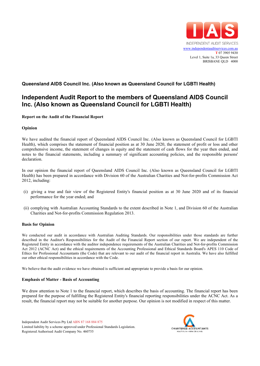

# **Independent Audit Report to the members of Queensland AIDS Council Inc. (Also known as Queensland Council for LGBTI Health)**

## **Report on the Audit of the Financial Report**

## **Opinion**

We have audited the financial report of Queensland AIDS Council Inc. (Also known as Queensland Council for LGBTI Health), which comprises the statement of financial position as at 30 June 2020, the statement of profit or loss and other comprehensive income, the statement of changes in equity and the statement of cash flows for the year then ended, and notes to the financial statements, including a summary of significant accounting policies, and the responsible persons' declaration.

In our opinion the financial report of Queensland AIDS Council Inc. (Also known as Queensland Council for LGBTI Health) has been prepared in accordance with Division 60 of the Australian Charities and Not-for-profits Commission Act 2012, including:

- (i) giving a true and fair view of the Registered Entity's financial position as at 30 June 2020 and of its financial performance for the year ended; and
- (ii) complying with Australian Accounting Standards to the extent described in Note 1, and Division 60 of the Australian Charities and Not-for-profits Commission Regulation 2013.

## **Basis for Opinion**

We conducted our audit in accordance with Australian Auditing Standards. Our responsibilities under those standards are further described in the Auditor's Responsibilities for the Audit of the Financial Report section of our report. We are independent of the Registered Entity in accordance with the auditor independence requirements of the Australian Charities and Not-for-profits Commission Act 2012 (ACNC Act) and the ethical requirements of the Accounting Professional and Ethical Standards Board's APES 110 Code of Ethics for Professional Accountants (the Code) that are relevant to our audit of the financial report in Australia. We have also fulfilled our other ethical responsibilities in accordance with the Code.

We believe that the audit evidence we have obtained is sufficient and appropriate to provide a basis for our opinion.

## **Emphasis of Matter - Basis of Accounting**

We draw attention to Note 1 to the financial report, which describes the basis of accounting. The financial report has been prepared for the purpose of fulfilling the Registered Entity's financial reporting responsibilities under the ACNC Act. As a result, the financial report may not be suitable for another purpose. Our opinion is not modified in respect of this matter.

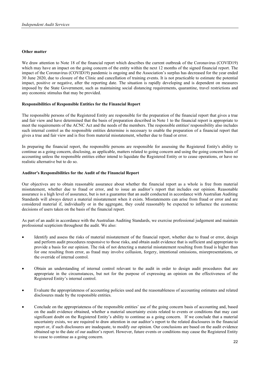## **Other matter**

We draw attention to Note 18 of the financial report which describes the current outbreak of the Coronavirus (COVID19) which may have an impact on the going concern of the entity within the next 12 months of the signed financial report. The impact of the Coronavirus (COVID19) pandemic is ongoing and the Association's surplus has decreased for the year ended 30 June 2020, due to closure of the Clinic and cancellation of training events. It is not practicable to estimate the potential impact, positive or negative, after the reporting date. The situation is rapidly developing and is dependent on measures imposed by the State Government, such as maintaining social distancing requirements, quarantine, travel restrictions and any economic stimulus that may be provided.

## **Responsibilities of Responsible Entities for the Financial Report**

The responsible persons of the Registered Entity are responsible for the preparation of the financial report that gives a true and fair view and have determined that the basis of preparation described in Note 1 to the financial report is appropriate to meet the requirements of the ACNC Act and the needs of the members. The responsible entities' responsibility also includes such internal control as the responsible entities determine is necessary to enable the preparation of a financial report that gives a true and fair view and is free from material misstatement, whether due to fraud or error.

In preparing the financial report, the responsible persons are responsible for assessing the Registered Entity's ability to continue as a going concern, disclosing, as applicable, matters related to going concern and using the going concern basis of accounting unless the responsible entities either intend to liquidate the Registered Entity or to cease operations, or have no realistic alternative but to do so.

## **Auditor's Responsibilities for the Audit of the Financial Report**

Our objectives are to obtain reasonable assurance about whether the financial report as a whole is free from material misstatement, whether due to fraud or error, and to issue an auditor's report that includes our opinion. Reasonable assurance is a high level of assurance, but is not a guarantee that an audit conducted in accordance with Australian Auditing Standards will always detect a material misstatement when it exists. Misstatements can arise from fraud or error and are considered material if, individually or in the aggregate, they could reasonably be expected to influence the economic decisions of users taken on the basis of the financial report.

As part of an audit in accordance with the Australian Auditing Standards, we exercise professional judgement and maintain professional scepticism throughout the audit. We also:

- Identify and assess the risks of material misstatement of the financial report, whether due to fraud or error, design and perform audit procedures responsive to those risks, and obtain audit evidence that is sufficient and appropriate to provide a basis for our opinion. The risk of not detecting a material misstatement resulting from fraud is higher than for one resulting from error, as fraud may involve collusion, forgery, intentional omissions, misrepresentations, or the override of internal control.
- Obtain an understanding of internal control relevant to the audit in order to design audit procedures that are appropriate in the circumstances, but not for the purpose of expressing an opinion on the effectiveness of the Registered Entity's internal control.
- Evaluate the appropriateness of accounting policies used and the reasonableness of accounting estimates and related disclosures made by the responsible entities.
- Conclude on the appropriateness of the responsible entities' use of the going concern basis of accounting and, based on the audit evidence obtained, whether a material uncertainty exists related to events or conditions that may cast significant doubt on the Registered Entity's ability to continue as a going concern. If we conclude that a material uncertainty exists, we are required to draw attention in our auditor's report to the related disclosures in the financial report or, if such disclosures are inadequate, to modify our opinion. Our conclusions are based on the audit evidence obtained up to the date of our auditor's report. However, future events or conditions may cause the Registered Entity to cease to continue as a going concern.